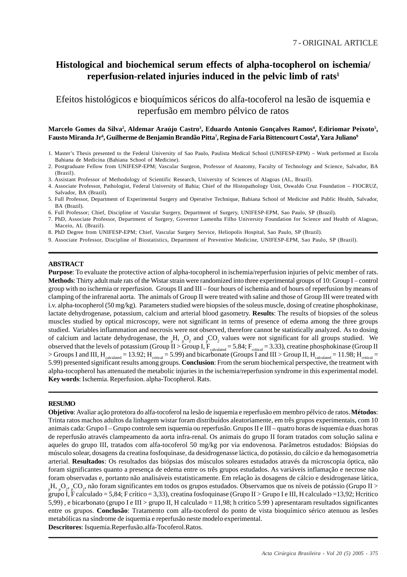# **Histological and biochemical serum effects of alpha-tocopherol on ischemia/ reperfusion-related injuries induced in the pelvic limb of rats1**

Efeitos histológicos e bioquímicos séricos do alfa-tocoferol na lesão de isquemia e reperfusão em membro pélvico de ratos

# Marcelo Gomes da Silva<sup>2</sup>, Aldemar Araújo Castro<sup>3</sup>, Eduardo Antonio Gonçalves Ramos<sup>4</sup>, Ediriomar Peixoto<sup>5</sup>, **Fausto Miranda Jr6 , Guilherme de Benjamin Brandão Pitta7 , Regina de Faria Bittencourt Costa8 , Yara Juliano9**

- 1. Master's Thesis presented to the Federal University of Sao Paulo, Paulista Medical School (UNIFESP-EPM) Work performed at Escola Bahiana de Medicina (Bahiana School of Medicine).
- 2. Postgraduate Fellow from UNIFESP-EPM; Vascular Surgeon, Professor of Anatomy, Faculty of Technology and Science, Salvador, BA (Brazil).
- 3. Assistant Professor of Methodology of Scientific Research, University of Sciences of Alagoas (AL, Brazil).
- 4. Associate Professor, Pathologist, Federal University of Bahia; Chief of the Histopathology Unit, Oswaldo Cruz Foundation FIOCRUZ, Salvador, BA (Brazil).
- 5. Full Professor, Department of Experimental Surgery and Operative Technique, Bahiana School of Medicine and Public Health, Salvador, BA (Brazil).
- 6. Full Professor; Chief, Discipline of Vascular Surgery, Department of Surgery, UNIFESP-EPM, Sao Paulo, SP (Brazil).
- 7. PhD, Associate Professor, Department of Surgery, Governor Lamenha Filho University Foundation for Science and Health of Alagoas, Maceio, AL (Brazil).
- 8. PhD Degree from UNIFESP-EPM; Chief, Vascular Surgery Service, Heliopolis Hospital, Sao Paulo, SP (Brazil).
- 9. Associate Professor, Discipline of Biostatistics, Department of Preventive Medicine, UNIFESP-EPM, Sao Paulo, SP (Brazil).

# **ABSTRACT**

**Purpose**: To evaluate the protective action of alpha-tocopherol in ischemia/reperfusion injuries of pelvic member of rats. **Methods**: Thirty adult male rats of the Wistar strain were randomized into three experimental groups of 10: Group I – control group with no ischemia or reperfusion. Groups II and III – four hours of ischemia and of hours of reperfusion by means of clamping of the infrarenal aorta. The animals of Group II were treated with saline and those of Group III were treated with i.v. alpha-tocopherol (50 mg/kg). Parameters studied were biopsies of the soleus muscle, dosing of creatine phosphokinase, lactate dehydrogenase, potassium, calcium and arterial blood gasometry. **Results**: The results of biopsies of the soleus muscles studied by optical microscopy, were not significant in terms of presence of edema among the three groups studied. Variables inflammation and necrosis were not observed, therefore cannot be statistically analyzed. As to dosing of calcium and lactate dehydrogenase, the  $_{p}H$ ,  $_{p}O_2$  and  $_{p}CO_2$  values were not significant for all groups studied. We observed that the levels of potassium (Group  $\rm{II} > G$ roup I,  $\rm{F_{calculated}}=5.84;$   $\rm{F_{critical}}=3.33$ ), creatine phosphokinase (Group II  $>$  Groups I and III, H<sub>calculated</sub> = 13.92; H<sub>critical</sub> = 5.99) and bicarbonate (Groups I and III  $>$  Group II, H<sub>calculated</sub> = 11.98; H<sub>critical</sub> = 5.99) presented significant results among groups. **Conclusion**: From the serum biochemical perspective, the treatment with alpha-tocopherol has attenuated the metabolic injuries in the ischemia/reperfusion syndrome in this experimental model. **Key words**: Ischemia. Reperfusion. alpha-Tocopherol. Rats.

### **RESUMO**

**Objetivo**: Avaliar ação protetora do alfa-tocoferol na lesão de isquemia e reperfusão em membro pélvico de ratos. **Métodos**: Trinta ratos machos adultos da linhagem wistar foram distribuídos aleatoriamente, em três grupos experimentais, com 10 animais cada: Grupo I – Grupo controle sem isquemia ou reperfusão. Grupos II e III – quatro horas de isquemia e duas horas de reperfusão através clampeamento da aorta infra-renal. Os animais do grupo II foram tratados com solução salina e aqueles do grupo III, tratados com alfa-tocoferol 50 mg/kg por via endovenosa. Parâmetros estudados: Biópsias do músculo solear, dosagens da creatina fosfoquinase, da desidrogenasse láctica, do potássio, do cálcio e da hemogasometria arterial. **Resultados**: Os resultados das biópsias dos músculos soleares estudados através da microscopia óptica, não foram significantes quanto a presença de edema entre os três grupos estudados. As variáveis inflamação e necrose não foram observadas e, portanto não analisáveis estatisticamente. Em relação às dosagens de cálcio e desidrogenase lática,  $_{\rm p}$ H,  $_{\rm p}$ O<sub>2</sub>, <sub>p</sub>CO<sub>2</sub>, não foram significantes em todos os grupos estudados. Observamos que os níveis de potássio (Grupo II > grupo I, F calculado = 5,84; F crítico = 3,33), creatina fosfoquinase (Grupo II > Grupo I e III, H calculado = 13,92; Heritico 5,99), e bicarbonato (grupo I e III > grupo II, H calculado = 11,98; h critico 5.99) apresentaram resultados significantes entre os grupos. **Conclusão**: Tratamento com alfa-tocoferol do ponto de vista bioquímico sérico atenuou as lesões metabólicas na síndrome de isquemia e reperfusão neste modelo experimental. **Descritores**: Isquemia.Reperfusão.alfa-Tocoferol.Ratos.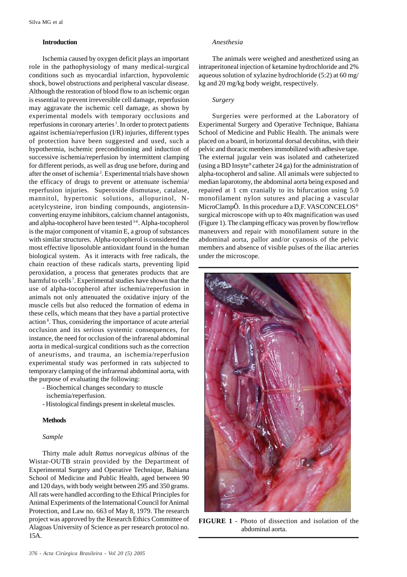### **Introduction**

Ischemia caused by oxygen deficit plays an important role in the pathophysiology of many medical-surgical conditions such as myocardial infarction, hypovolemic shock, bowel obstructions and peripheral vascular disease. Although the restoration of blood flow to an ischemic organ is essential to prevent irreversible cell damage, reperfusion may aggravate the ischemic cell damage, as shown by experimental models with temporary occlusions and reperfusions in coronary arteries<sup>1</sup>. In order to protect patients against ischemia/reperfusion (I/R) injuries, different types of protection have been suggested and used, such a hypothermia, ischemic preconditioning and induction of successive ischemia/reperfusion by intermittent clamping for different periods, as well as drug use before, during and after the onset of ischemia 2. Experimental trials have shown the efficacy of drugs to prevent or attenuate ischemia/ reperfusion injuries. Superoxide dismutase, catalase, mannitol, hypertonic solutions, allopurinol, Nacetylcysteine, iron binding compounds, angiotensinconverting enzyme inhibitors, calcium channel antagonists, and alpha-tocopherol have been tested 3-6. Alpha-tocopherol is the major component of vitamin E, a group of substances with similar structures. Alpha-tocopherol is considered the most effective liposoluble antioxidant found in the human biological system. As it interacts with free radicals, the chain reaction of these radicals starts, preventing lipid peroxidation, a process that generates products that are harmful to cells<sup>7</sup>. Experimental studies have shown that the use of alpha-tocopherol after ischemia/reperfusion in animals not only attenuated the oxidative injury of the muscle cells but also reduced the formation of edema in these cells, which means that they have a partial protective action 8. Thus, considering the importance of acute arterial occlusion and its serious systemic consequences, for instance, the need for occlusion of the infrarenal abdominal aorta in medical-surgical conditions such as the correction of aneurisms, and trauma, an ischemia/reperfusion experimental study was performed in rats subjected to temporary clamping of the infrarenal abdominal aorta, with the purpose of evaluating the following:

- Biochemical changes secondary to muscle ischemia/reperfusion.
- Histological findings present in skeletal muscles.

#### **Methods**

# *Sample*

Thirty male adult *Rattus norvegicus albinus* of the Wistar-OUTB strain provided by the Department of Experimental Surgery and Operative Technique, Bahiana School of Medicine and Public Health, aged between 90 and 120 days, with body weight between 295 and 350 grams. All rats were handled according to the Ethical Principles for Animal Experiments of the International Council for Animal Protection, and Law no. 663 of May 8, 1979. The research project was approved by the Research Ethics Committee of Alagoas University of Science as per research protocol no. 15A.

#### *Anesthesia*

The animals were weighed and anesthetized using an intraperitoneal injection of ketamine hydrochloride and 2% aqueous solution of xylazine hydrochloride (5:2) at 60 mg/ kg and 20 mg/kg body weight, respectively.

### *Surgery*

Surgeries were performed at the Laboratory of Experimental Surgery and Operative Technique, Bahiana School of Medicine and Public Health. The animals were placed on a board, in horizontal dorsal decubitus, with their pelvic and thoracic members immobilized with adhesive tape. The external jugular vein was isolated and catheterized (using a BD Insyte® catheter 24 ga) for the administration of alpha-tocopherol and saline. All animals were subjected to median laparotomy, the abdominal aorta being exposed and repaired at 1 cm cranially to its bifurcation using 5.0 monofilament nylon sutures and placing a vascular MicroClampÔ. In this procedure a D<sub>.</sub>F. VASCONCELOS<sup>®</sup> surgical microscope with up to 40x magnification was used (Figure 1). The clamping efficacy was proven by flow/reflow maneuvers and repair with monofilament suture in the abdominal aorta, pallor and/or cyanosis of the pelvic members and absence of visible pulses of the iliac arteries under the microscope.



**FIGURE 1** - Photo of dissection and isolation of the abdominal aorta.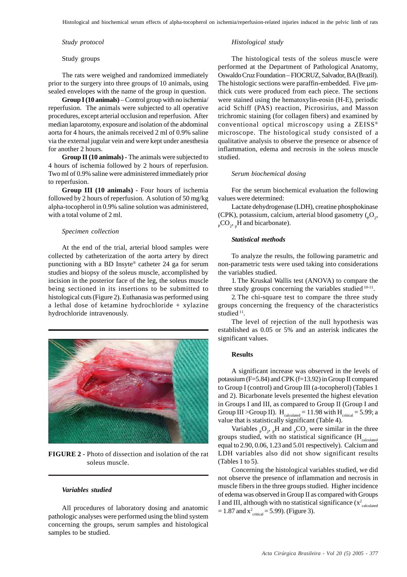*Study protocol*

Study groups

The rats were weighed and randomized immediately prior to the surgery into three groups of 10 animals, using sealed envelopes with the name of the group in question.

**Group I (10 animals)** – Control group with no ischemia/ reperfusion. The animals were subjected to all operative procedures, except arterial occlusion and reperfusion. After median laparotomy, exposure and isolation of the abdominal aorta for 4 hours, the animals received 2 ml of 0.9% saline via the external jugular vein and were kept under anesthesia for another 2 hours.

**Group II (10 animals) -** The animals were subjected to 4 hours of ischemia followed by 2 hours of reperfusion. Two ml of 0.9% saline were administered immediately prior to reperfusion.

**Group III (10 animals)** - Four hours of ischemia followed by 2 hours of reperfusion. A solution of 50 mg/kg alpha-tocopherol in 0.9% saline solution was administered, with a total volume of 2 ml.

#### *Specimen collection*

At the end of the trial, arterial blood samples were collected by catheterization of the aorta artery by direct punctioning with a BD Insyte® catheter 24 ga for serum studies and biopsy of the soleus muscle, accomplished by incision in the posterior face of the leg, the soleus muscle being sectioned in its insertions to be submitted to histological cuts (Figure 2). Euthanasia was performed using a lethal dose of ketamine hydrochloride + xylazine hydrochloride intravenously.



**FIGURE 2** - Photo of dissection and isolation of the rat soleus muscle.

#### *Variables studied*

All procedures of laboratory dosing and anatomic pathologic analyses were performed using the blind system concerning the groups, serum samples and histological samples to be studied.

#### *Histological study*

The histological tests of the soleus muscle were performed at the Department of Pathological Anatomy, Oswaldo Cruz Foundation – FIOCRUZ, Salvador, BA (Brazil). The histologic sections were paraffin-embedded. Five  $\mu$ mthick cuts were produced from each piece. The sections were stained using the hematoxylin-eosin (H-E), periodic acid Schiff (PAS) reaction, Picrosirius, and Masson trichromic staining (for collagen fibers) and examined by conventional optical microscopy using a ZEISS® microscope. The histological study consisted of a qualitative analysis to observe the presence or absence of inflammation, edema and necrosis in the soleus muscle studied.

#### *Serum biochemical dosing*

For the serum biochemical evaluation the following values were determined:

Lactate dehydrogenase (LDH), creatine phosphokinase (CPK), potassium, calcium, arterial blood gasometry ( $_{\text{p}}O_{2}$ ,  $_{\text{P}}\text{CO}_{2}$ , H and bicarbonate).

#### *Statistical methods*

To analyze the results, the following parametric and non-parametric tests were used taking into considerations the variables studied.

1. The Kruskal Wallis test (ANOVA) to compare the three study groups concerning the variables studied  $10-11$ .

2. The chi-square test to compare the three study groups concerning the frequency of the characteristics studied<sup>11</sup>.

The level of rejection of the null hypothesis was established as 0.05 or 5% and an asterisk indicates the significant values.

#### **Results**

A significant increase was observed in the levels of potassium (F=5.84) and CPK (f=13.92) in Group II compared to Group I (control) and Group III (a-tocopherol) (Tables 1 and 2). Bicarbonate levels presented the highest elevation in Groups I and III, as compared to Group II (Group I and Group III > Group II).  $H_{calculated} = 11.98$  with  $H_{critical} = 5.99$ ; a value that is statistically significant (Table 4).

Variables  $_{p}O_{2}$ ,  $_{p}H$  and  $_{p}CO_{2}$  were similar in the three groups studied, with no statistical significance  $(H_{\text{calculated}})$ equal to 2.90, 0.06, 1.23 and 5.01 respectively). Calcium and LDH variables also did not show significant results (Tables 1 to 5).

Concerning the histological variables studied, we did not observe the presence of inflammation and necrosis in muscle fibers in the three groups studied. Higher incidence of edema was observed in Group II as compared with Groups I and III, although with no statistical significance  $(x^2_{calculated})$  $= 1.87$  and  $x^2_{\text{critical}} = 5.99$ ). (Figure 3).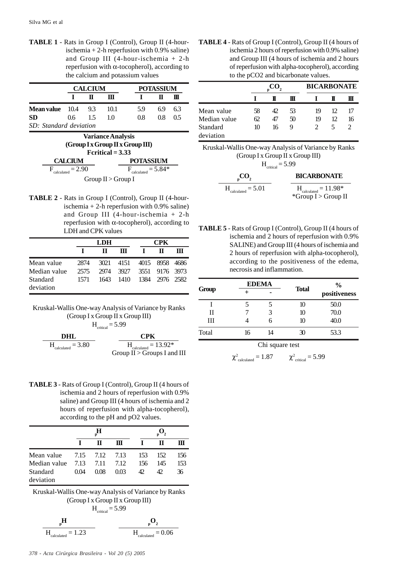**TABLE 1** - Rats in Group I (Control), Group II (4-hourischemia + 2-h reperfusion with  $0.9\%$  saline) and Group III  $(4-hour-ischemical + 2-h)$ reperfusion with α-tocopherol), according to the calcium and potassium values

|                        | <b>CALCIUM</b> |     |      |    | <b>POTASSIUM</b> |    |  |
|------------------------|----------------|-----|------|----|------------------|----|--|
|                        |                |     | Ш    |    |                  | Ш  |  |
| <b>Mean value</b> 10.4 |                | 9.3 | 10.1 | 59 | 69               | 63 |  |
| SD.                    | $0.6 -$        | 15  | 10   | 08 | 08.              | 05 |  |
| SD: Standard deviation |                |     |      |    |                  |    |  |

| <b>Variance Analysis</b>                            |  |  |  |  |
|-----------------------------------------------------|--|--|--|--|
| (Group I x Group II x Group III)                    |  |  |  |  |
| Feritical $= 3.33$                                  |  |  |  |  |
| <b>POTASSIUM</b><br><b>CALCIUM</b>                  |  |  |  |  |
| $F_{calculated} = 2.90$<br>$F_{calculated} = 5.84*$ |  |  |  |  |
| Group $II > G$ roup I                               |  |  |  |  |

**TABLE 2** - Rats in Group I (Control), Group II (4-hourischemia + 2-h reperfusion with  $0.9\%$  saline) and Group III (4-hour-ischemia + 2-h reperfusion with α-tocopherol), according to LDH and CPK values

|              |      | <b>LDH</b> |                     |                | <b>CPK</b>     |   |  |
|--------------|------|------------|---------------------|----------------|----------------|---|--|
|              |      | Н.         | Ш                   |                | н              | Ш |  |
| Mean value   | 2874 | 3021       | 4151 4015 8958 4686 |                |                |   |  |
| Median value | 2575 | 2974       | 3927                | 3551 9176 3973 |                |   |  |
| Standard     | 1571 | 1643.      | 1410                |                | 1384 2976 2582 |   |  |
| deviation    |      |            |                     |                |                |   |  |

Kruskal-Wallis One-way Analysis of Variance by Ranks (Group I x Group II x Group III)

$$
H_{\text{critical}} = 5.99
$$

| DHL.                    | <b>CPK</b>                      |
|-------------------------|---------------------------------|
| $H_{calculated} = 3.80$ | $H_{calculated} = 13.92*$       |
|                         | Group $II > Groups I$ and $III$ |

**TABLE 3** - Rats of Group I (Control), Group II (4 hours of ischemia and 2 hours of reperfusion with 0.9% saline) and Group III (4 hours of ischemia and 2 hours of reperfusion with alpha-tocopherol), according to the pH and pO2 values.

|              | Н<br>D |                |      |     |     |     |
|--------------|--------|----------------|------|-----|-----|-----|
|              |        | н              | Ш    |     | П   | Ш   |
| Mean value   |        | 7.15 7.12 7.13 |      | 153 | 152 | 156 |
| Median value | 7.13   | 7.11           | 7.12 | 156 | 145 | 153 |
| Standard     | 0.04   | 0.08           | 0.03 | 42. | 42. | 36  |
| deviation    |        |                |      |     |     |     |

Kruskal-Wallis One-way Analysis of Variance by Ranks (Group I x Group II x Group III)  $H_{critical} = 5.99$ 

$$
\frac{1}{H_{\text{calculated}} = 1.23}
$$
 
$$
H_{\text{calculated}} = 0.06
$$

**TABLE 4** - Rats of Group I (Control), Group II (4 hours of ischemia 2 hours of reperfusion with 0.9% saline) and Group III (4 hours of ischemia and 2 hours of reperfusion with alpha-tocopherol), according to the pCO2 and bicarbonate values.

|              |     |     | <b>BICARBONATE</b> |    |     |    |
|--------------|-----|-----|--------------------|----|-----|----|
|              |     | Ш   | Ш                  |    | Ш   | Ш  |
| Mean value   | .58 | 42. | 53                 | 19 | 12. | 17 |
| Median value | 62  | 47  | 50                 | 19 | 12. | 16 |
| Standard     | 10  | 16  | Q                  |    | 5   |    |
| deviation    |     |     |                    |    |     |    |

| Kruskal-Wallis One-way Analysis of Variance by Ranks |
|------------------------------------------------------|
| (Group I x Group II x Group III)                     |

$$
H_{\text{critical}} = 5.99
$$

| -----------                |                                                     |
|----------------------------|-----------------------------------------------------|
| $_{\circ}$ CO <sub>2</sub> | <b>BICARBONATE</b>                                  |
| $H_{calculated} = 5.01$    | $H_{calculated} = 11.98*$<br>*Group $I > G$ roup II |

**TABLE 5** - Rats of Group I (Control), Group II (4 hours of ischemia and 2 hours of reperfusion with 0.9% SALINE) and Group III (4 hours of ischemia and 2 hours of reperfusion with alpha-tocopherol), according to the positiveness of the edema, necrosis and inflammation.

|              |                                                         | <b>EDEMA</b> |              | $\frac{0}{0}$ |  |
|--------------|---------------------------------------------------------|--------------|--------------|---------------|--|
| <b>Group</b> |                                                         |              | <b>Total</b> | positiveness  |  |
|              |                                                         |              | 10           | 50.0          |  |
| Н            |                                                         | 3            | 10           | 70.0          |  |
| Ш            |                                                         |              | 10           | 40.0          |  |
| Total        | 16                                                      | 14           | 30           | 53.3          |  |
|              | $\sim$ $\sim$ $\sim$ $\sim$ $\sim$ $\sim$ $\sim$ $\sim$ |              |              |               |  |

Chi square test

$$
\chi^2_{\rm \; calculated} = 1.87 \qquad \quad \chi^2_{\rm \;critical} = 5.99
$$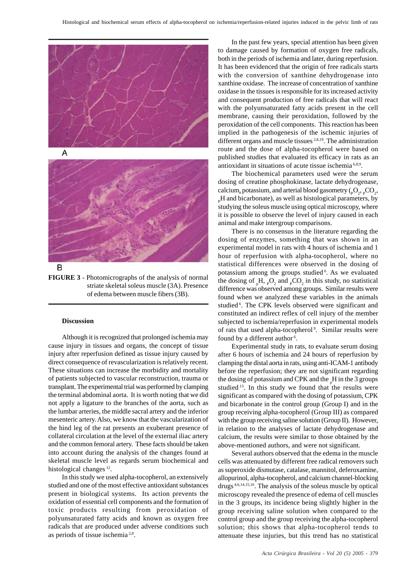

**FIGURE 3** - Photomicrographs of the analysis of normal striate skeletal soleus muscle (3A). Presence of edema between muscle fibers (3B).

#### **Discussion**

Although it is recognized that prolonged ischemia may cause injury in tissues and organs, the concept of tissue injury after reperfusion defined as tissue injury caused by direct consequence of revascularization is relatively recent. These situations can increase the morbidity and mortality of patients subjected to vascular reconstruction, trauma or transplant. The experimental trial was performed by clamping the terminal abdominal aorta. It is worth noting that we did not apply a ligature to the branches of the aorta, such as the lumbar arteries, the middle sacral artery and the inferior mesenteric artery. Also, we know that the vascularization of the hind leg of the rat presents an exuberant presence of collateral circulation at the level of the external iliac artery and the common femoral artery. These facts should be taken into account during the analysis of the changes found at skeletal muscle level as regards serum biochemical and histological changes <sup>12</sup>.

In this study we used alpha-tocopherol, an extensively studied and one of the most effective antioxidant substances present in biological systems. Its action prevents the oxidation of essential cell components and the formation of toxic products resulting from peroxidation of polyunsaturated fatty acids and known as oxygen free radicals that are produced under adverse conditions such as periods of tissue ischemia 2,8.

In the past few years, special attention has been given to damage caused by formation of oxygen free radicals, both in the periods of ischemia and later, during reperfusion. It has been evidenced that the origin of free radicals starts with the conversion of xanthine dehydrogenase into xanthine oxidase. The increase of concentration of xanthine oxidase in the tissues is responsible for its increased activity and consequent production of free radicals that will react with the polyunsaturated fatty acids present in the cell membrane, causing their peroxidation, followed by the peroxidation of the cell components. This reaction has been implied in the pathogenesis of the ischemic injuries of different organs and muscle tissues 2,8,19. The administration route and the dose of alpha-tocopherol were based on published studies that evaluated its efficacy in rats as an antioxidant in situations of acute tissue ischemia 6,8,9.

The biochemical parameters used were the serum dosing of creatine phosphokinase, lactate dehydrogenase, calcium, potassium, and arterial blood gasometry ( ${}_{p}O_{2}$ ,  ${}_{p}CO_{2}$ , <sub>p</sub>H and bicarbonate), as well as histological parameters, by studying the soleus muscle using optical microscopy, where it is possible to observe the level of injury caused in each animal and make intergroup comparisons.

There is no consensus in the literature regarding the dosing of enzymes, something that was shown in an experimental model in rats with 4 hours of ischemia and 1 hour of reperfusion with alpha-tocopherol, where no statistical differences were observed in the dosing of potassium among the groups studied $6$ . As we evaluated the dosing of  $_{p}H$ ,  $_{p}O_{2}$  and  $_{p}CO_{2}$  in this study, no statistical difference was observed among groups. Similar results were found when we analyzed these variables in the animals studied<sup>6</sup>. The CPK levels observed were significant and constituted an indirect reflex of cell injury of the member subjected to ischemia/reperfusion in experimental models of rats that used alpha-tocopherol<sup>9</sup>. Similar results were found by a different author<sup>6</sup>.

Experimental study in rats, to evaluate serum dosing after 6 hours of ischemia and 24 hours of reperfusion by clamping the distal aorta in rats, using anti-ICAM-1 antibody before the reperfusion; they are not significant regarding the dosing of potassium and CPK and the  $\frac{1}{p}H$  in the 3 groups studied  $13$ . In this study we found that the results were significant as compared with the dosing of potassium, CPK and bicarbonate in the control group (Group I) and in the group receiving alpha-tocopherol (Group III) as compared with the group receiving saline solution (Group II). However, in relation to the analyses of lactate dehydrogenase and calcium, the results were similar to those obtained by the above-mentioned authors, and were not significant.

Several authors observed that the edema in the muscle cells was attenuated by different free radical removers such as superoxide dismutase, catalase, mannitol, deferoxamine, allopurinol, alpha-tocopherol, and calcium channel-blocking drugs 4,6,14,15,16. The analysis of the soleus muscle by optical microscopy revealed the presence of edema of cell muscles in the 3 groups, its incidence being slightly higher in the group receiving saline solution when compared to the control group and the group receiving the alpha-tocopherol solution; this shows that alpha-tocopherol tends to attenuate these injuries, but this trend has no statistical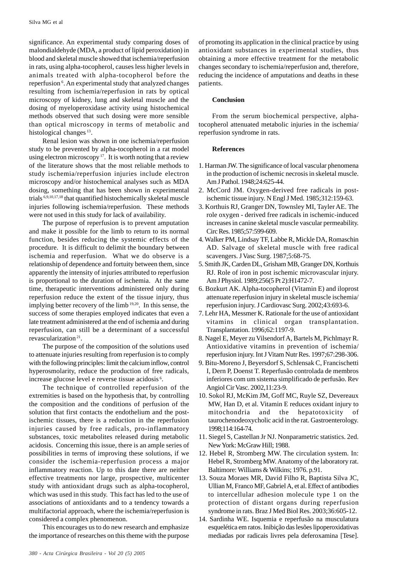significance. An experimental study comparing doses of malondialdehyde (MDA, a product of lipid peroxidation) in blood and skeletal muscle showed that ischemia/reperfusion in rats, using alpha-tocopherol, causes less higher levels in animals treated with alpha-tocopherol before the reperfusion 6. An experimental study that analyzed changes resulting from ischemia/reperfusion in rats by optical microscopy of kidney, lung and skeletal muscle and the dosing of myeloperoxidase activity using histochemical methods observed that such dosing were more sensible than optical microscopy in terms of metabolic and histological changes <sup>13</sup>.

Renal lesion was shown in one ischemia/reperfusion study to be prevented by alpha-tocopherol in a rat model using electron microscopy<sup>17</sup>. It is worth noting that a review of the literature shows that the most reliable methods to study ischemia/reperfusion injuries include electron microscopy and/or histochemical analyses such as MDA dosing, something that has been shown in experimental trials 6,9,10,17,18 that quantified histochemically skeletal muscle injuries following ischemia/reperfusion. These methods were not used in this study for lack of availability.

The purpose of reperfusion is to prevent amputation and make it possible for the limb to return to its normal function, besides reducing the systemic effects of the procedure. It is difficult to delimit the boundary between ischemia and reperfusion. What we do observe is a relationship of dependence and fortuity between them, since apparently the intensity of injuries attributed to reperfusion is proportional to the duration of ischemia. At the same time, therapeutic interventions administered only during reperfusion reduce the extent of the tissue injury, thus implying better recovery of the limb 19,20. In this sense, the success of some therapies employed indicates that even a late treatment administered at the end of ischemia and during reperfusion, can still be a determinant of a successful revascularization 21.

The purpose of the composition of the solutions used to attenuate injuries resulting from reperfusion is to comply with the following principles: limit the calcium inflow, control hyperosmolarity, reduce the production of free radicals, increase glucose level e reverse tissue acidosis 6.

The technique of controlled reperfusion of the extremities is based on the hypothesis that, by controlling the composition and the conditions of perfusion of the solution that first contacts the endothelium and the postischemic tissues, there is a reduction in the reperfusion injuries caused by free radicals, pro-inflammatory substances, toxic metabolites released during metabolic acidosis. Concerning this issue, there is an ample series of possibilities in terms of improving these solutions, if we consider the ischemia-reperfusion process a major inflammatory reaction. Up to this date there are neither effective treatments nor large, prospective, multicenter study with antioxidant drugs such as alpha-tocopherol, which was used in this study. This fact has led to the use of associations of antioxidants and to a tendency towards a multifactorial approach, where the ischemia/reperfusion is considered a complex phenomenon.

This encourages us to do new research and emphasize the importance of researches on this theme with the purpose of promoting its application in the clinical practice by using antioxidant substances in experimental studies, thus obtaining a more effective treatment for the metabolic changes secondary to ischemia/reperfusion and, therefore, reducing the incidence of amputations and deaths in these patients.

#### **Conclusion**

From the serum biochemical perspective, alphatocopherol attenuated metabolic injuries in the ischemia/ reperfusion syndrome in rats.

#### **References**

- 1. Harman JW. The significance of local vascular phenomena in the production of ischemic necrosis in skeletal muscle. Am J Pathol. 1948;24:625-44.
- 2. McCord JM. Oxygen-derived free radicals in postischemic tissue injury. N Engl J Med. 1985;312:159-63.
- 3. Korthuis RJ, Granger DN, Townsley MI, Tayler AE. The role oxygen - derived free radicals in ischemic-induced increases in canine skeletal muscle vascular permeability. Circ Res. 1985;57:599-609.
- 4. Walker PM, Lindsay TF, Labbe R, Mickle DA, Romaschin AD. Salvage of skeletal muscle with free radical scavengers. J Vasc Surg. 1987;5:68-75.
- 5. Smith JK, Carden DL, Grisham MB, Granger DN, Korthuis RJ. Role of iron in post ischemic microvascular injury. Am J Physiol. 1989;256(5 Pt 2):H1472-7.
- 6. Bozkurt AK. Alpha-tocopherol (Vitamin E) and iloprost attenuate reperfusion injury in skeletal muscle ischemia/ reperfusion injury. J Cardiovasc Surg. 2002;43:693-6.
- 7. Lehr HA, Messmer K. Rationale for the use of antioxidant vitamins in clinical organ transplantation. Transplantation. 1996;62:1197-9.
- 8. Nagel E, Meyer zu Vilsendorf A, Bartels M, Pichlmayr R. Antioxidative vitamins in prevention of ischemia/ reperfusion injury. Int J Vitam Nutr Res. 1997;67:298-306.
- 9. Bitu-Moreno J, Beyersdorf S, Schlensak C, Francischetti I, Dern P, Doenst T. Reperfusão controlada de membros inferiores com um sistema simplificado de perfusão. Rev Angiol Cir Vasc. 2002,11:23-9.
- 10. Sokol RJ, McKim JM, Goff MC, Ruyle SZ, Devereaux MW, Han D, et al. Vitamin E reduces oxidant injury to mitochondria and the hepatotoxicity of taurochenodeoxycholic acid in the rat. Gastroenterology. 1998;114:164-74.
- 11. Siegel S, Castellan Jr NJ. Nonparametric statistics. 2ed. New York: McGraw Hill; 1988.
- 12. Hebel R, Stromberg MW. The circulation system. In: Hebel R, Stromberg MW. Anatomy of the laboratory rat. Baltimore: Williams & Wilkins; 1976. p.91.
- 13. Souza Moraes MR, David Filho R, Baptista Silva JC, Ullian M, Franco MF, Gabriel A, et al. Effect of antibodies to intercellular adhesion molecule type 1 on the protection of distant organs during reperfusion syndrome in rats. Braz J Med Biol Res. 2003;36:605-12.
- 14. Sardinha WE. Isquemia e reperfusão na musculatura esquelética em ratos. Inibição das lesões lipoperoxidativas mediadas por radicais livres pela deferoxamina [Tese].